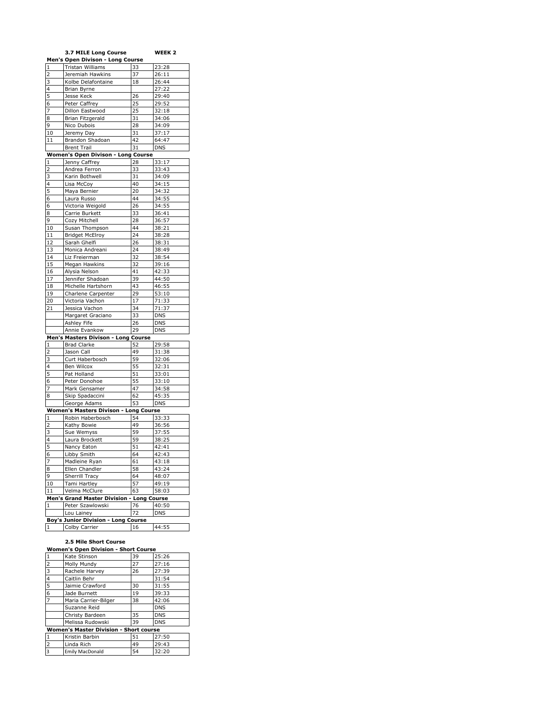|                | <b>3.7 MILE Long Course</b>                |                    | WEEK 2     |
|----------------|--------------------------------------------|--------------------|------------|
|                | Men's Open Divison - Long Course           |                    |            |
| 1              | Tristan Williams                           | 33                 | 23:28      |
| $\overline{2}$ | Jeremiah Hawkins                           | 37                 | 26:11      |
| 3              | Kolbe Delafontaine                         | 18                 | 26:44      |
| 4              | Brian Byrne                                |                    | 27:22      |
| 5              | Jesse Keck                                 | 26                 | 29:40      |
| 6              | Peter Caffrey                              | 25                 | 29:52      |
| 7              | Dillon Eastwood                            | 25                 | 32:18      |
|                |                                            | 31                 | 34:06      |
| 8              | Brian Fitzgerald                           |                    |            |
| 9              | Nico Dubois                                | 28                 | 34:09      |
| 10             | Jeremy Day                                 | 31                 | 37:17      |
| 11             | Brandon Shadoan                            | 42                 | 64:47      |
|                | <b>Brent Trail</b>                         | 31                 | <b>DNS</b> |
|                | Women's Open Divison - Long Course         |                    |            |
| $\mathbf 1$    | Jenny Caffrey                              | 28                 | 33:17      |
| 2              | Andrea Ferron                              | 33                 | 33:43      |
| 3              | Karin Bothwell                             | 31                 | 34:09      |
| 4              | Lisa McCoy                                 | 40                 | 34:15      |
| 5              | Maya Bernier                               | 20                 | 34:32      |
| 6              | Laura Russo                                | 44                 | 34:55      |
| 6              | Victoria Weigold                           | 26                 | 34:55      |
| 8              | Carrie Burkett                             | 33                 | 36:41      |
| 9              | Cozy Mitchell                              | 28                 | 36:57      |
| 10             | Susan Thompson                             | 44                 | 38:21      |
| 11             | <b>Bridget McElroy</b>                     | 24                 | 38:28      |
| 12             |                                            | 26                 | 38:31      |
|                | Sarah Ghelfi                               |                    |            |
| 13             | Monica Andreani                            | 24                 | 38:49      |
| 14             | Liz Freierman                              | 32                 | 38:54      |
| 15             | Megan Hawkins                              | 32                 | 39:16      |
| 16             | Alysia Nelson                              | 41                 | 42:33      |
| 17             | Jennifer Shadoan                           | 39                 | 44:50      |
| 18             | Michelle Hartshorn                         | 43                 | 46:55      |
| 19             | Charlene Carpenter                         | 29                 | 53:10      |
| 20             | Victoria Vachon                            | 17                 | 71:33      |
| 21             | Jessica Vachon                             | 34                 | 71:37      |
|                | Margaret Graciano                          | 33                 | <b>DNS</b> |
|                | Ashley Fife                                | 26                 | DNS        |
|                | Annie Evankow                              | 29                 | <b>DNS</b> |
|                | Men's Masters Divison - Long Course        |                    |            |
| 1              | <b>Brad Clarke</b>                         | 52                 | 29:58      |
| 2              | Jason Call                                 | 49                 | 31:38      |
| 3              | Curt Haberbosch                            | 59                 | 32:06      |
| 4              | Ben Wilcox                                 | 55                 | 32:31      |
| 5              | Pat Holland                                | 51                 | 33:01      |
| 6              | Peter Donohoe                              | 55                 | 33:10      |
| 7              | Mark Gensamer                              | 47                 | 34:58      |
| 8              | Skip Spadaccini                            | 62                 | 45:35      |
|                | George Adams                               | 53                 | <b>DNS</b> |
|                |                                            |                    |            |
|                | Women's Masters Divison - Long Course      |                    |            |
| $\mathbf{1}$   | Robin Haberbosch                           | 54                 | 33:33      |
| 2              | Kathy Bowie                                | 49                 | 36:56      |
| 3              | Sue Wemyss                                 | 59                 | 37:55      |
| $\overline{4}$ | Laura Brockett                             | 59                 | 38:25      |
| 5              | Nancy Eaton                                | 51                 | 42:41      |
| 6              | Libby Smith                                | 64                 | 42:43      |
| 7              | Madleine Ryan                              | 61                 | 43:18      |
| 8              | Ellen Chandler                             | 58                 | 43:24      |
| 9              | Sherrill Tracy                             | 64                 | 48:07      |
| 10             | Tami Hartley                               | 57                 | 49:19      |
| 11             | Velma McClure                              | 63                 | 58:03      |
|                | <b>Men's Grand Master Division</b>         | <b>Long Course</b> |            |
| 1              | Peter Szawlowski                           | 76                 | 40:50      |
|                | Lou Lainey                                 | 72                 | <b>DNS</b> |
|                | <b>Boy's Junior Division - Long Course</b> |                    |            |
| $\mathbf{1}$   | Colby Carrier                              | 16                 | 44:55      |
|                |                                            |                    |            |

## **2.5 Mile Short Course**

| <b>Women's Open Division - Short Course</b> |                                               |    |            |
|---------------------------------------------|-----------------------------------------------|----|------------|
| 1                                           | Kate Stinson                                  | 39 | 25:26      |
| $\overline{2}$                              | Molly Mundy                                   | 27 | 27:16      |
| 3                                           | Rachele Harvey                                | 26 | 27:39      |
| $\overline{4}$                              | Caitlin Behr                                  |    | 31:54      |
| $\overline{5}$                              | Jaimie Crawford                               | 30 | 31:55      |
| 6                                           | Jade Burnett                                  | 19 | 39:33      |
| $\overline{7}$                              | Maria Carrier-Bilger                          | 38 | 42:06      |
|                                             | Suzanne Reid                                  |    | <b>DNS</b> |
|                                             | Christy Bardeen                               | 35 | <b>DNS</b> |
|                                             | Melissa Rudowski                              | 39 | <b>DNS</b> |
|                                             | <b>Women's Master Division - Short course</b> |    |            |
| $\mathbf{1}$                                | Kristin Barbin                                | 51 | 27:50      |
| $\overline{2}$                              | Linda Rich                                    | 49 | 29:43      |
| $\overline{3}$                              | <b>Emily MacDonald</b>                        | 54 | 32:20      |